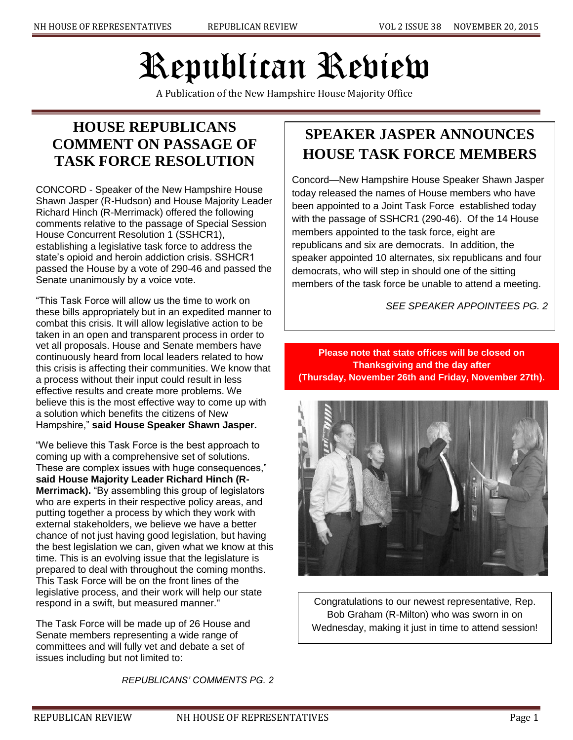# Republican Review

A Publication of the New Hampshire House Majority Office

## **HOUSE REPUBLICANS COMMENT ON PASSAGE OF TASK FORCE RESOLUTION**

CONCORD - Speaker of the New Hampshire House Shawn Jasper (R-Hudson) and House Majority Leader Richard Hinch (R-Merrimack) offered the following comments relative to the passage of Special Session House Concurrent Resolution 1 (SSHCR1), establishing a legislative task force to address the state's opioid and heroin addiction crisis. SSHCR1 passed the House by a vote of 290-46 and passed the Senate unanimously by a voice vote.

"This Task Force will allow us the time to work on these bills appropriately but in an expedited manner to combat this crisis. It will allow legislative action to be taken in an open and transparent process in order to vet all proposals. House and Senate members have continuously heard from local leaders related to how this crisis is affecting their communities. We know that a process without their input could result in less effective results and create more problems. We believe this is the most effective way to come up with a solution which benefits the citizens of New Hampshire," **said House Speaker Shawn Jasper.**

"We believe this Task Force is the best approach to coming up with a comprehensive set of solutions. These are complex issues with huge consequences," **said House Majority Leader Richard Hinch (R-Merrimack).** "By assembling this group of legislators who are experts in their respective policy areas, and putting together a process by which they work with external stakeholders, we believe we have a better chance of not just having good legislation, but having the best legislation we can, given what we know at this time. This is an evolving issue that the legislature is prepared to deal with throughout the coming months. This Task Force will be on the front lines of the legislative process, and their work will help our state respond in a swift, but measured manner."

The Task Force will be made up of 26 House and Senate members representing a wide range of committees and will fully vet and debate a set of issues including but not limited to:

*REPUBLICANS' COMMENTS PG. 2*

## **SPEAKER JASPER ANNOUNCES HOUSE TASK FORCE MEMBERS**

Concord—New Hampshire House Speaker Shawn Jasper today released the names of House members who have been appointed to a Joint Task Force established today with the passage of SSHCR1 (290-46). Of the 14 House members appointed to the task force, eight are republicans and six are democrats. In addition, the speaker appointed 10 alternates, six republicans and four democrats, who will step in should one of the sitting members of the task force be unable to attend a meeting.

*SEE SPEAKER APPOINTEES PG. 2*

**Please note that state offices will be closed on Thanksgiving and the day after (Thursday, November 26th and Friday, November 27th).**



Congratulations to our newest representative, Rep. Bob Graham (R-Milton) who was sworn in on Wednesday, making it just in time to attend session!